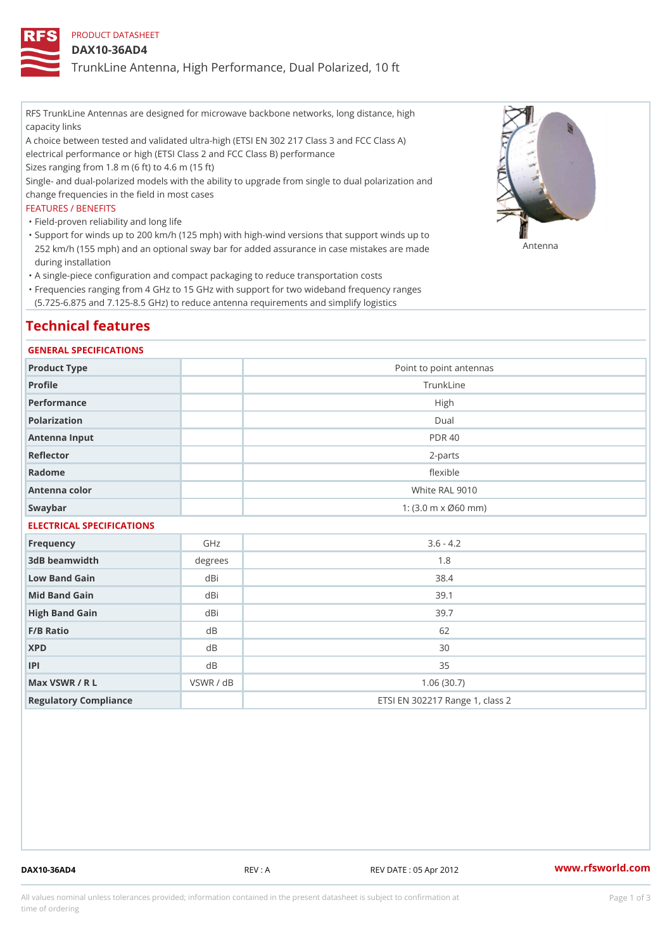# PRODUCT DATASHEET

### DAX10-36AD4

TrunkLine Antenna, High Performance, Dual Polarized, 10 ft

RFS TrunkLine Antennas are designed for microwave backbone networks, long distance, high capacity links

A choice between tested and validated ultra-high (ETSI EN 302 217 Class 3 and FCC Class A) electrical performance or high (ETSI Class 2 and FCC Class B) performance

Sizes ranging from 1.8 m (6 ft) to 4.6 m (15 ft)

Single- and dual-polarized models with the ability to upgrade from single to dual polarization and change frequencies in the field in most cases

### FEATURES / BENEFITS

"Field-proven reliability and long life

- Support for winds up to 200 km/h (125 mph) with high-wind versions that support winds up to " 252 km/h (155 mph) and an optional sway bar for added assurance in case m 48 #8 R B & are made during installation
- "A single-piece configuration and compact packaging to reduce transportation costs
- Frequencies ranging from 4 GHz to 15 GHz with support for two wideband frequency ranges " (5.725-6.875 and 7.125-8.5 GHz) to reduce antenna requirements and simplify logistics

# Technical features

### GENERAL SPECIFICATIONS

| Product Type  | Point to point antennas                                 |
|---------------|---------------------------------------------------------|
| Profile       | TrunkLine                                               |
| Performance   | High                                                    |
| Polarization  | $D$ ual                                                 |
| Antenna Input | <b>PDR 40</b>                                           |
| Reflector     | $2 - p$ arts                                            |
| Radome        | flexible                                                |
| Antenna color | White RAL 9010                                          |
| Swaybar       | 1: $(3.0 \, \text{m} \times \emptyset 60 \, \text{mm})$ |

# ELECTRICAL SPECIFICATIONS

| Frequency             | GHz       | $3.6 - 4.2$                     |
|-----------------------|-----------|---------------------------------|
| 3dB beamwidth         | degree    | 1.8                             |
| Low Band Gain         | dBi       | 38.4                            |
| Mid Band Gain         | dBi       | 39.1                            |
| High Band Gain        | dBi       | 39.7                            |
| $F/B$ Ratio           | d B       | 62                              |
| <b>XPD</b>            | d B       | 30                              |
| P                     | d B       | 35                              |
| Max VSWR / R L        | VSWR / dB | 1.06(30.7)                      |
| Regulatory Compliance |           | ETSI EN 302217 Range 1, class 2 |

DAX10-36AD4 REV : A REV DATE : 05 Apr 2012 [www.](https://www.rfsworld.com)rfsworld.com

All values nominal unless tolerances provided; information contained in the present datasheet is subject to Pcapgeign mation time of ordering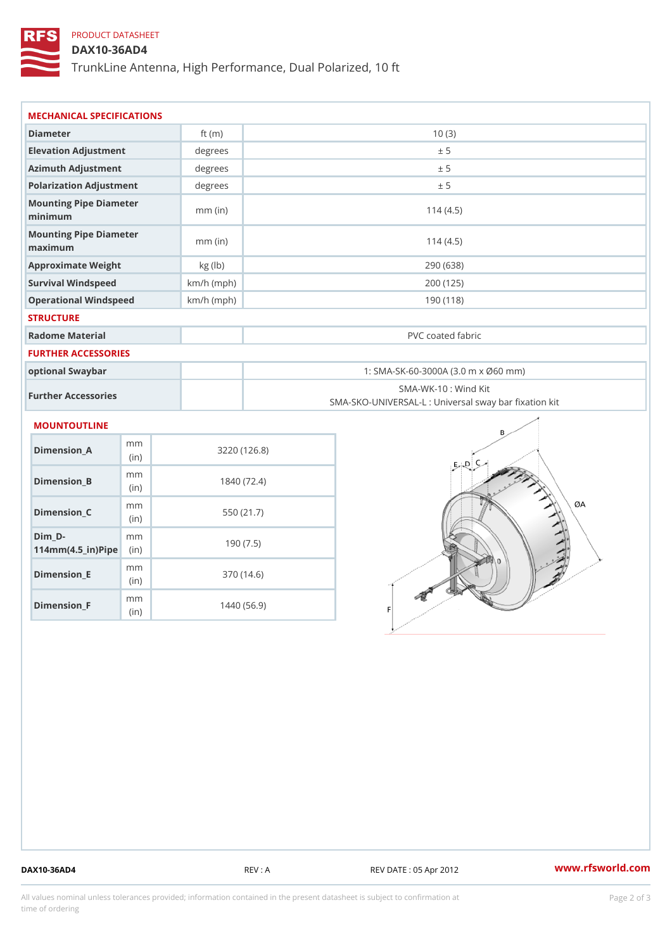# PRODUCT DATASHEET

(in)

m<sub>m</sub> (in)

DAX10-36AD4

TrunkLine Antenna, High Performance, Dual Polarized, 10 ft

| MECHANICAL SPECIFICATIONS                |                        |              |                                                                          |  |  |
|------------------------------------------|------------------------|--------------|--------------------------------------------------------------------------|--|--|
| Diameter                                 |                        | ft $(m)$     | 10(3)                                                                    |  |  |
| Elevation Adjustment                     |                        | degrees      | ± 5                                                                      |  |  |
| Azimuth Adjustment                       |                        | degree:      | ± 5                                                                      |  |  |
| Polarization Adjustment                  |                        | degrees      | ± 5                                                                      |  |  |
| Mounting Pipe Diameter<br>minimum        |                        | $mm$ (in)    | 114(4.5)                                                                 |  |  |
| Mounting Pipe Diameter<br>maximum        |                        | $mm$ (in)    | 114(4.5)                                                                 |  |  |
| Approximate Weight                       |                        | kg (lb)      | 290 (638)                                                                |  |  |
| Survival Windspeed                       |                        | $km/h$ (mph) | 200 (125)                                                                |  |  |
| Operational Windspeed                    |                        | $km/h$ (mph) | 190(118)                                                                 |  |  |
| <b>STRUCTURE</b>                         |                        |              |                                                                          |  |  |
| Radome Material                          |                        |              | PVC coated fabric                                                        |  |  |
| FURTHER ACCESSORIES                      |                        |              |                                                                          |  |  |
| optional Swaybar                         |                        |              | 1: SMA-SK-60-3000A (3.0 m x Ø60 mm)                                      |  |  |
| Further Accessories                      |                        |              | SMA-WK-10: Wind Kit<br>SMA-SKO-UNIVERSAL-L : Universal sway bar fixation |  |  |
| MOUNTOUTLINE                             |                        |              |                                                                          |  |  |
| $Dimenision_A$                           | m <sub>m</sub><br>(in) |              | 3220 (126.8)                                                             |  |  |
| $Dimen sion_B$                           | m m<br>(in             |              | 1840 (72.4)                                                              |  |  |
| $Dimension_C$                            | m m<br>(in)            |              | 550 (21.7)                                                               |  |  |
| $Dim_D - D -$<br>$114mm(4.5_{ir})$ $Rip$ | m m                    |              | 190(7.5)                                                                 |  |  |
| $Dimension$ = E                          | m m                    |              | 370 (14.6)                                                               |  |  |

Dimension\_F

1440 (56.9)

DAX10-36AD4 REV : A REV DATE : 05 Apr 2012 [www.](https://www.rfsworld.com)rfsworld.com